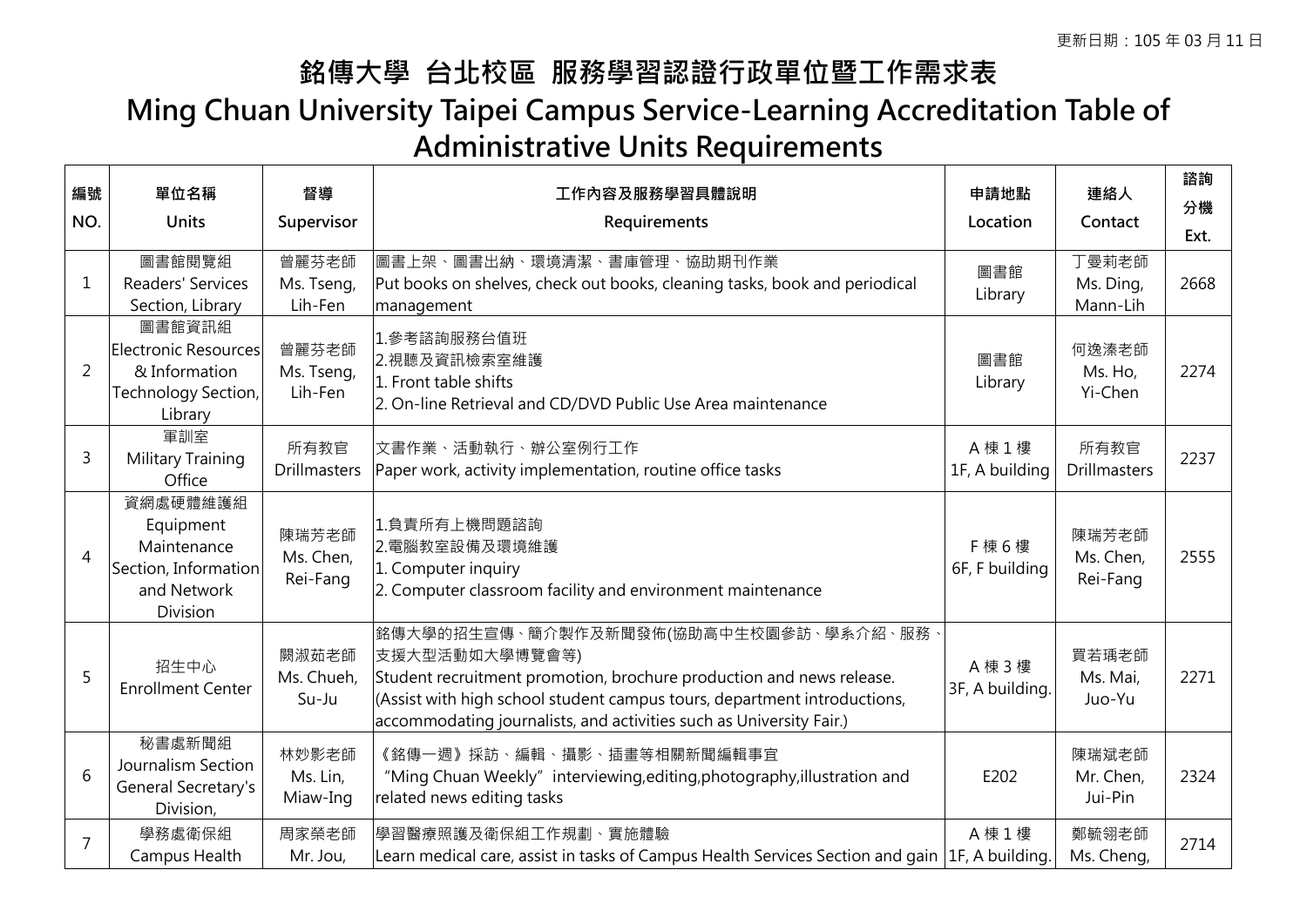## **銘傳大學 台北校區 服務學習認證行政單位暨工作需求表 Ming Chuan University Taipei Campus Service-Learning Accreditation Table of Administrative Units Requirements**

| 編號<br>NO.      | 單位名稱<br><b>Units</b>                                                                    | 督導<br>Supervisor               | 工作內容及服務學習具體說明<br>Requirements                                                                                                                                                                                                                                                       | 申請地點<br>Location           | 連絡人<br>Contact                 | 諮詢<br>分機<br>Ext. |
|----------------|-----------------------------------------------------------------------------------------|--------------------------------|-------------------------------------------------------------------------------------------------------------------------------------------------------------------------------------------------------------------------------------------------------------------------------------|----------------------------|--------------------------------|------------------|
| 1              | 圖書館閱覽組<br>Readers' Services<br>Section, Library                                         | 曾麗芬老師<br>Ms. Tseng,<br>Lih-Fen | 圖書上架、圖書出納、環境清潔、書庫管理、協助期刊作業<br>Put books on shelves, check out books, cleaning tasks, book and periodical<br>management                                                                                                                                                              | 圖書館<br>Library             | 丁曼莉老師<br>Ms. Ding,<br>Mann-Lih | 2668             |
| 2              | 圖書館資訊組<br>Electronic Resources<br>& Information<br>Technology Section,<br>Library       | 曾麗芬老師<br>Ms. Tseng,<br>Lih-Fen | 1. 参考諮詢服務台值班<br>2.視聽及資訊檢索室維護<br>1. Front table shifts<br>2. On-line Retrieval and CD/DVD Public Use Area maintenance                                                                                                                                                                | 圖書館<br>Library             | 何逸溱老師<br>Ms. Ho,<br>Yi-Chen    | 2274             |
| 3              | 軍訓室<br>Military Training<br>Office                                                      | 所有教官<br><b>Drillmasters</b>    | 文書作業、活動執行、辦公室例行工作<br>Paper work, activity implementation, routine office tasks                                                                                                                                                                                                      | A 棟 1 樓<br>1F, A building  | 所有教官<br><b>Drillmasters</b>    | 2237             |
| $\overline{4}$ | 資網處硬體維護組<br>Equipment<br>Maintenance<br>Section, Information<br>and Network<br>Division | 陳瑞芳老師<br>Ms. Chen,<br>Rei-Fang | 1.負責所有上機問題諮詢<br>2. 電腦教室設備及環境維護<br>1. Computer inquiry<br>2. Computer classroom facility and environment maintenance                                                                                                                                                                 | F 棟 6 樓<br>6F, F building  | 陳瑞芳老師<br>Ms. Chen,<br>Rei-Fang | 2555             |
| 5              | 招生中心<br><b>Enrollment Center</b>                                                        | 闕淑茹老師<br>Ms. Chueh,<br>Su-Ju   | 銘傳大學的招生宣傳、簡介製作及新聞發佈(協助高中生校園參訪、學系介紹、服務、<br>支援大型活動如大學博覽會等)<br>Student recruitment promotion, brochure production and news release.<br>(Assist with high school student campus tours, department introductions,<br>accommodating journalists, and activities such as University Fair.) | A 棟 3 樓<br>3F, A building. | 買若瑀老師<br>Ms. Mai,<br>Juo-Yu    | 2271             |
| 6              | 秘書處新聞組<br>Journalism Section<br>General Secretary's<br>Division,                        | 林妙影老師<br>Ms. Lin,<br>Miaw-Ing  | 《銘傳一週》採訪、編輯、攝影、插畫等相關新聞編輯事宜<br>"Ming Chuan Weekly" interviewing, editing, photography, illustration and<br>related news editing tasks                                                                                                                                                | E202                       | 陳瑞斌老師<br>Mr. Chen,<br>Jui-Pin  | 2324             |
| $\overline{7}$ | 學務處衛保組<br>Campus Health                                                                 | 周家榮老師<br>Mr. Jou,              | 學習醫療照護及衛保組工作規劃、實施體驗<br>Learn medical care, assist in tasks of Campus Health Services Section and gain $ 1F$ , A building.                                                                                                                                                           | A 棟 1 樓                    | 鄭毓翎老師<br>Ms. Cheng,            | 2714             |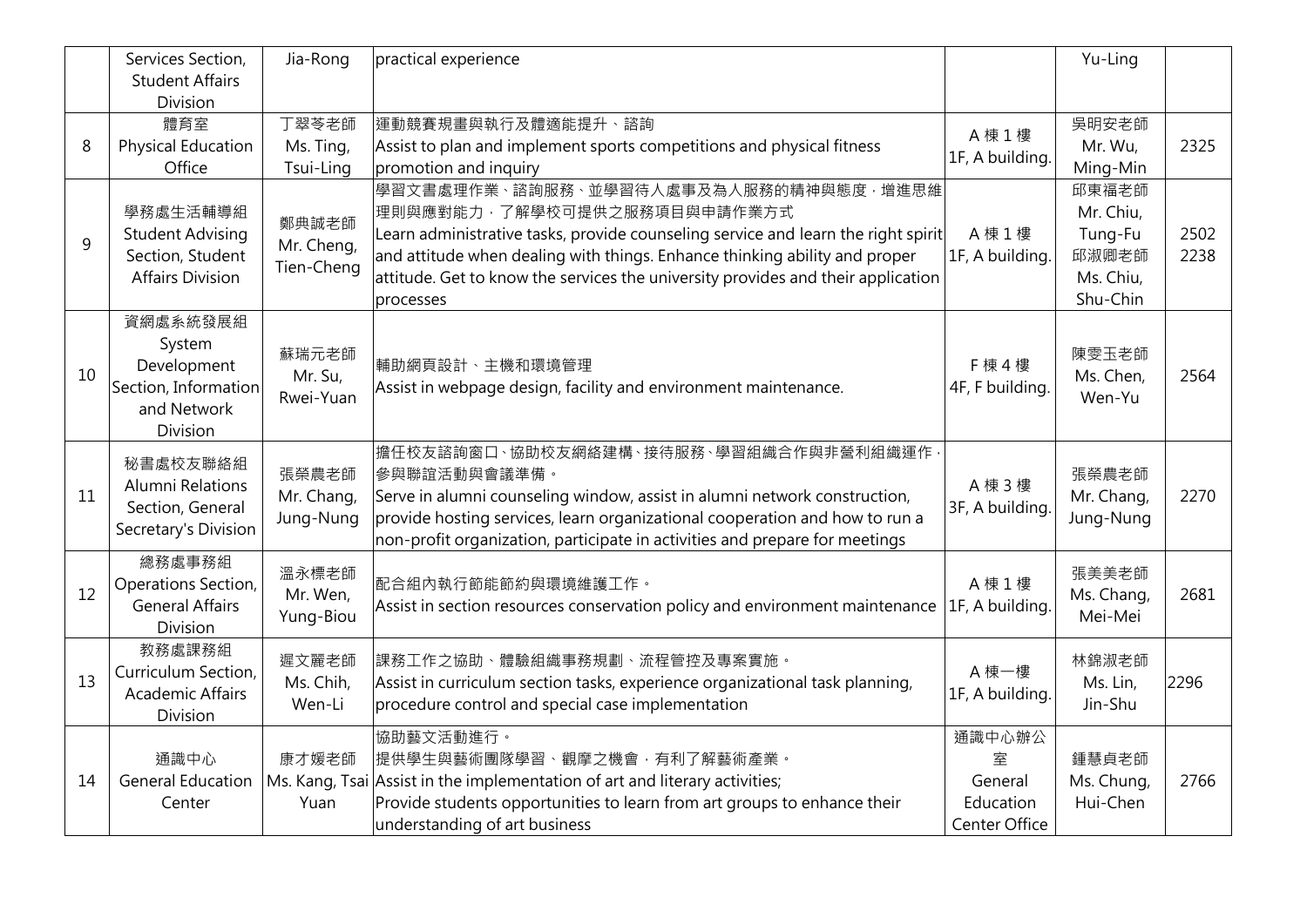|    | Services Section,<br><b>Student Affairs</b><br>Division                              | Jia-Rong                          | practical experience                                                                                                                                                                                                                                                                                                                     |                                                      | Yu-Ling                                                         |              |
|----|--------------------------------------------------------------------------------------|-----------------------------------|------------------------------------------------------------------------------------------------------------------------------------------------------------------------------------------------------------------------------------------------------------------------------------------------------------------------------------------|------------------------------------------------------|-----------------------------------------------------------------|--------------|
| 8  | 體育室<br>Physical Education<br>Office                                                  | 丁翠苓老師<br>Ms. Ting,<br>Tsui-Ling   | 運動競賽規畫與執行及體適能提升、諮詢<br>Assist to plan and implement sports competitions and physical fitness<br>promotion and inquiry                                                                                                                                                                                                                     | A 棟 1 樓<br>1F, A building.                           | 吳明安老師<br>Mr. Wu,<br>Ming-Min                                    | 2325         |
| 9  | 學務處生活輔導組<br><b>Student Advising</b><br>Section, Student<br><b>Affairs Division</b>   | 鄭典誠老師<br>Mr. Cheng,<br>Tien-Cheng | 學習文書處理作業、諮詢服務、並學習待人處事及為人服務的精神與態度,增進思維<br>理則與應對能力,了解學校可提供之服務項目與申請作業方式<br>Learn administrative tasks, provide counseling service and learn the right spirit<br>and attitude when dealing with things. Enhance thinking ability and proper<br>attitude. Get to know the services the university provides and their application<br>processes | A 棟 1 樓<br>1F, A building.                           | 邱東福老師<br>Mr. Chiu,<br>Tung-Fu<br>邱淑卿老師<br>Ms. Chiu,<br>Shu-Chin | 2502<br>2238 |
| 10 | 資網處系統發展組<br>System<br>Development<br>Section, Information<br>and Network<br>Division | 蘇瑞元老師<br>Mr. Su,<br>Rwei-Yuan     | 輔助網頁設計、主機和環境管理<br>Assist in webpage design, facility and environment maintenance.                                                                                                                                                                                                                                                        | F 棟 4 樓<br>4F, F building.                           | 陳雯玉老師<br>Ms. Chen,<br>Wen-Yu                                    | 2564         |
| 11 | 秘書處校友聯絡組<br><b>Alumni Relations</b><br>Section, General<br>Secretary's Division      | 張榮農老師<br>Mr. Chang,<br>Jung-Nung  | 擔任校友諮詢窗口、協助校友網絡建構、接待服務、學習組織合作與非營利組織運作,<br>參與聯誼活動與會議準備。<br>Serve in alumni counseling window, assist in alumni network construction,<br>provide hosting services, learn organizational cooperation and how to run a<br>non-profit organization, participate in activities and prepare for meetings                                        | A 棟 3 樓<br>3F, A building.                           | 張榮農老師<br>Mr. Chang,<br>Jung-Nung                                | 2270         |
| 12 | 總務處事務組<br>Operations Section,<br><b>General Affairs</b><br>Division                  | 溫永標老師<br>Mr. Wen,<br>Yung-Biou    | 配合組內執行節能節約與環境維護工作。<br>Assist in section resources conservation policy and environment maintenance                                                                                                                                                                                                                                        | A 棟 1 樓<br>1F, A building.                           | 張美美老師<br>Ms. Chang,<br>Mei-Mei                                  | 2681         |
| 13 | 教務處課務組<br>Curriculum Section,<br><b>Academic Affairs</b><br>Division                 | 遲文麗老師<br>Ms. Chih,<br>Wen-Li      | 課務工作之協助、體驗組織事務規劃、流程管控及專案實施。<br>Assist in curriculum section tasks, experience organizational task planning,<br>procedure control and special case implementation                                                                                                                                                                         | A 棟一樓<br>1F, A building.                             | 林錦淑老師<br>Ms. Lin,<br>Jin-Shu                                    | 2296         |
| 14 | 通識中心<br><b>General Education</b><br>Center                                           | 康才媛老師<br>Yuan                     | 協助藝文活動進行。<br>提供學生與藝術團隊學習、觀摩之機會,有利了解藝術產業。<br>Ms. Kang, Tsai Assist in the implementation of art and literary activities;<br>Provide students opportunities to learn from art groups to enhance their<br>understanding of art business                                                                                                     | 通識中心辦公<br>室<br>General<br>Education<br>Center Office | 鍾慧貞老師<br>Ms. Chung,<br>Hui-Chen                                 | 2766         |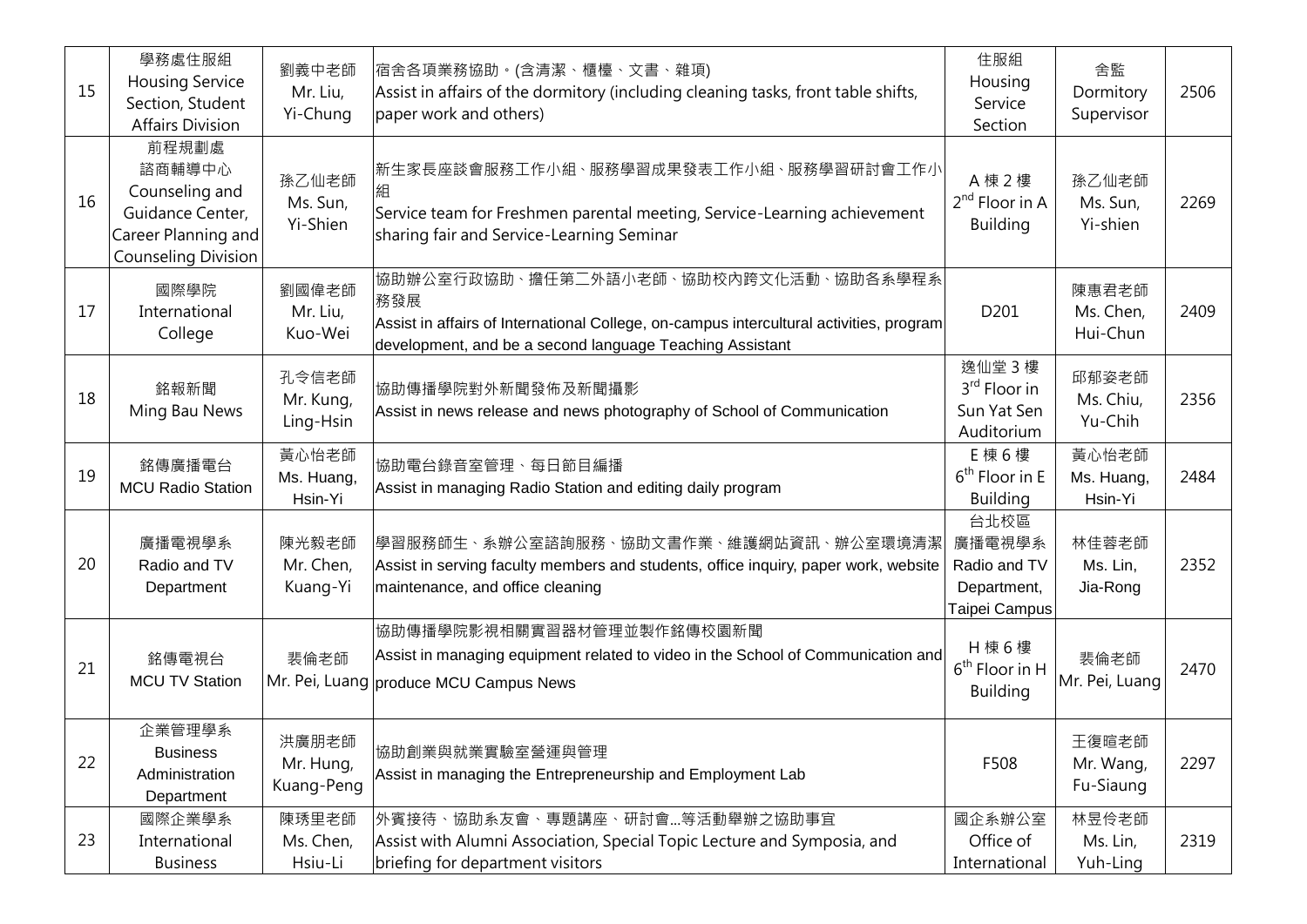| 15 | 學務處住服組<br><b>Housing Service</b><br>Section, Student<br><b>Affairs Division</b>                            | 劉義中老師<br>Mr. Liu,<br>Yi-Chung    | 宿舍各項業務協助。(含清潔、櫃檯、文書、雜項)<br>Assist in affairs of the dormitory (including cleaning tasks, front table shifts,<br>paper work and others)                                                              | 住服組<br>Housing<br>Service<br>Section                            | 舍監<br>Dormitory<br>Supervisor   | 2506 |
|----|------------------------------------------------------------------------------------------------------------|----------------------------------|-----------------------------------------------------------------------------------------------------------------------------------------------------------------------------------------------------|-----------------------------------------------------------------|---------------------------------|------|
| 16 | 前程規劃處<br>諮商輔導中心<br>Counseling and<br>Guidance Center,<br>Career Planning and<br><b>Counseling Division</b> | 孫乙仙老師<br>Ms. Sun,<br>Yi-Shien    | 新生家長座談會服務工作小組、服務學習成果發表工作小組、服務學習研討會工作小<br>Service team for Freshmen parental meeting, Service-Learning achievement<br>sharing fair and Service-Learning Seminar                                      | A 棟 2 樓<br>$2^{nd}$ Floor in A<br><b>Building</b>               | 孫乙仙老師<br>Ms. Sun,<br>Yi-shien   | 2269 |
| 17 | 國際學院<br>International<br>College                                                                           | 劉國偉老師<br>Mr. Liu,<br>Kuo-Wei     | 協助辦公室行政協助、擔任第二外語小老師、協助校内跨文化活動、協助各系學程系<br>務發展<br>Assist in affairs of International College, on-campus intercultural activities, program<br>development, and be a second language Teaching Assistant | D201                                                            | 陳惠君老師<br>Ms. Chen,<br>Hui-Chun  | 2409 |
| 18 | 銘報新聞<br>Ming Bau News                                                                                      | 孔令信老師<br>Mr. Kung,<br>Ling-Hsin  | 協助傳播學院對外新聞發佈及新聞攝影<br>Assist in news release and news photography of School of Communication                                                                                                         | 逸仙堂 3樓<br>3 <sup>rd</sup> Floor in<br>Sun Yat Sen<br>Auditorium | 邱郁姿老師<br>Ms. Chiu,<br>Yu-Chih   | 2356 |
| 19 | 銘傳廣播電台<br><b>MCU Radio Station</b>                                                                         | 黃心怡老師<br>Ms. Huang,<br>Hsin-Yi   | 協助電台錄音室管理、每日節目編播<br>Assist in managing Radio Station and editing daily program                                                                                                                      | E 棟 6 樓<br>$6th$ Floor in E<br><b>Building</b>                  | 黃心怡老師<br>Ms. Huang,<br>Hsin-Yi  | 2484 |
| 20 | 廣播電視學系<br>Radio and TV<br>Department                                                                       | 陳光毅老師<br>Mr. Chen,<br>Kuang-Yi   | 學習服務師生、系辦公室諮詢服務、協助文書作業、維護網站資訊、辦公室環境清潔<br>Assist in serving faculty members and students, office inquiry, paper work, website<br>maintenance, and office cleaning                                    | 台北校區<br>廣播電視學系<br>Radio and TV<br>Department,<br>Taipei Campus  | 林佳蓉老師<br>Ms. Lin,<br>Jia-Rong   | 2352 |
| 21 | 銘傳電視台<br><b>MCU TV Station</b>                                                                             | 裴倫老師                             | 協助傳播學院影視相關實習器材管理並製作銘傳校園新聞<br>Assist in managing equipment related to video in the School of Communication and<br>Mr. Pei, Luang produce MCU Campus News                                             | H 棟 6 樓<br>$6th$ Floor in H<br><b>Building</b>                  | 裴倫老師<br>Mr. Pei, Luang          | 2470 |
| 22 | 企業管理學系<br><b>Business</b><br>Administration<br>Department                                                  | 洪廣朋老師<br>Mr. Hung,<br>Kuang-Peng | 協助創業與就業實驗室營運與管理<br>Assist in managing the Entrepreneurship and Employment Lab                                                                                                                       | F508                                                            | 王復暄老師<br>Mr. Wang,<br>Fu-Siaung | 2297 |
| 23 | 國際企業學系<br>International<br><b>Business</b>                                                                 | 陳琇里老師<br>Ms. Chen,<br>Hsiu-Li    | 外賓接待、協助系友會、專題講座、研討會等活動舉辦之協助事宜<br>Assist with Alumni Association, Special Topic Lecture and Symposia, and<br>briefing for department visitors                                                        | 國企系辦公室<br>Office of<br>International                            | 林昱伶老師<br>Ms. Lin,<br>Yuh-Ling   | 2319 |